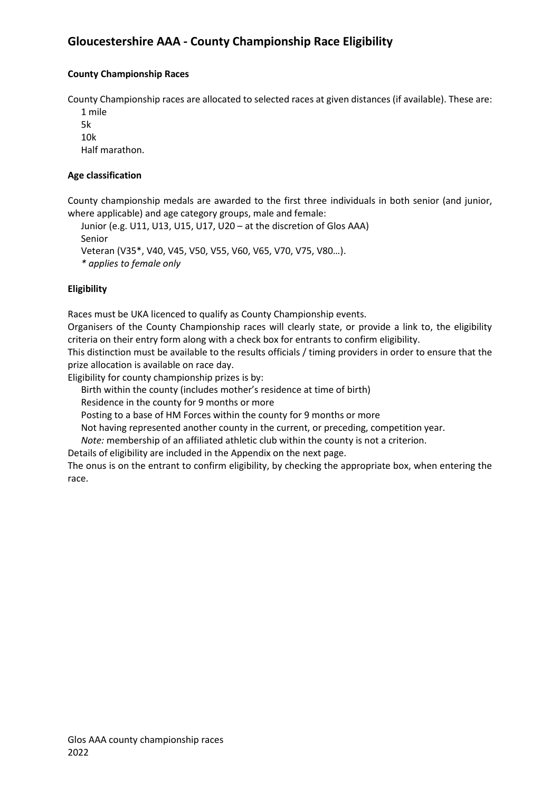## **Gloucestershire AAA - County Championship Race Eligibility**

## **County Championship Races**

County Championship races are allocated to selected races at given distances (if available). These are:

1 mile 5k 10k

Half marathon.

## **Age classification**

County championship medals are awarded to the first three individuals in both senior (and junior, where applicable) and age category groups, male and female:

Junior (e.g. U11, U13, U15, U17, U20 – at the discretion of Glos AAA) Senior Veteran (V35\*, V40, V45, V50, V55, V60, V65, V70, V75, V80…). *\* applies to female only*

#### **Eligibility**

Races must be UKA licenced to qualify as County Championship events.

Organisers of the County Championship races will clearly state, or provide a link to, the eligibility criteria on their entry form along with a check box for entrants to confirm eligibility.

This distinction must be available to the results officials / timing providers in order to ensure that the prize allocation is available on race day.

Eligibility for county championship prizes is by:

Birth within the county (includes mother's residence at time of birth)

Residence in the county for 9 months or more

Posting to a base of HM Forces within the county for 9 months or more

Not having represented another county in the current, or preceding, competition year.

*Note:* membership of an affiliated athletic club within the county is not a criterion.

Details of eligibility are included in the Appendix on the next page.

The onus is on the entrant to confirm eligibility, by checking the appropriate box, when entering the race.